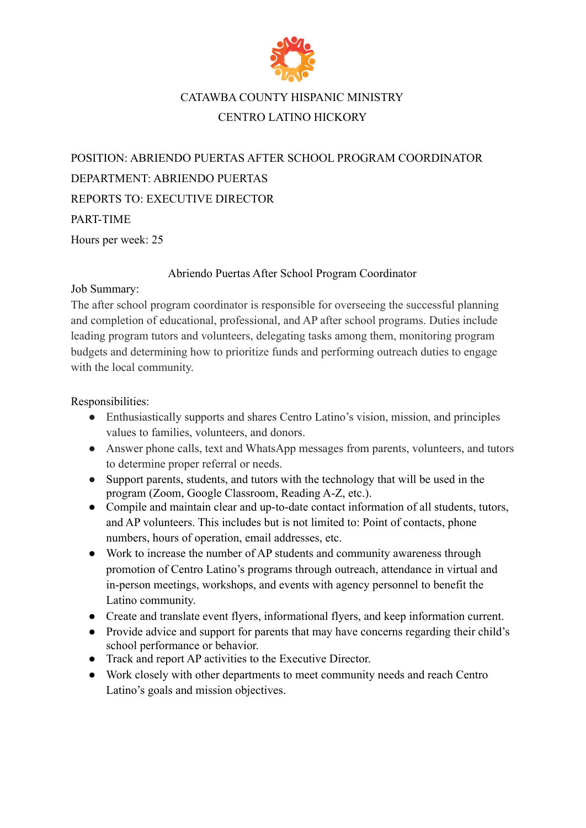

## CATAWBA COUNTY HISPANIC MINISTRY CENTRO LATINO HICKORY

POSITION: ABRIENDO PUERTAS AFTER SCHOOL PROGRAM COORDINATOR DEPARTMENT: ABRIENDO PUERTAS REPORTS TO: EXECUTIVE DIRECTOR PART-TIME Hours per week: 25

## Abriendo Puertas After School Program Coordinator

## Job Summary:

The after school program coordinator is responsible for overseeing the successful planning and completion of educational, professional, and AP after school programs. Duties include leading program tutors and volunteers, delegating tasks among them, monitoring program budgets and determining how to prioritize funds and performing outreach duties to engage with the local community.

Responsibilities:

- Enthusiastically supports and shares Centro Latino's vision, mission, and principles values to families, volunteers, and donors.
- Answer phone calls, text and WhatsApp messages from parents, volunteers, and tutors to determine proper referral or needs.
- Support parents, students, and tutors with the technology that will be used in the program (Zoom, Google Classroom, Reading A-Z, etc.).
- Compile and maintain clear and up-to-date contact information of all students, tutors, and AP volunteers. This includes but is not limited to: Point of contacts, phone numbers, hours of operation, email addresses, etc.
- Work to increase the number of AP students and community awareness through promotion of Centro Latino's programs through outreach, attendance in virtual and in-person meetings, workshops, and events with agency personnel to benefit the Latino community.
- Create and translate event flyers, informational flyers, and keep information current.
- Provide advice and support for parents that may have concerns regarding their child's school performance or behavior.
- Track and report AP activities to the Executive Director.
- Work closely with other departments to meet community needs and reach Centro Latino's goals and mission objectives.